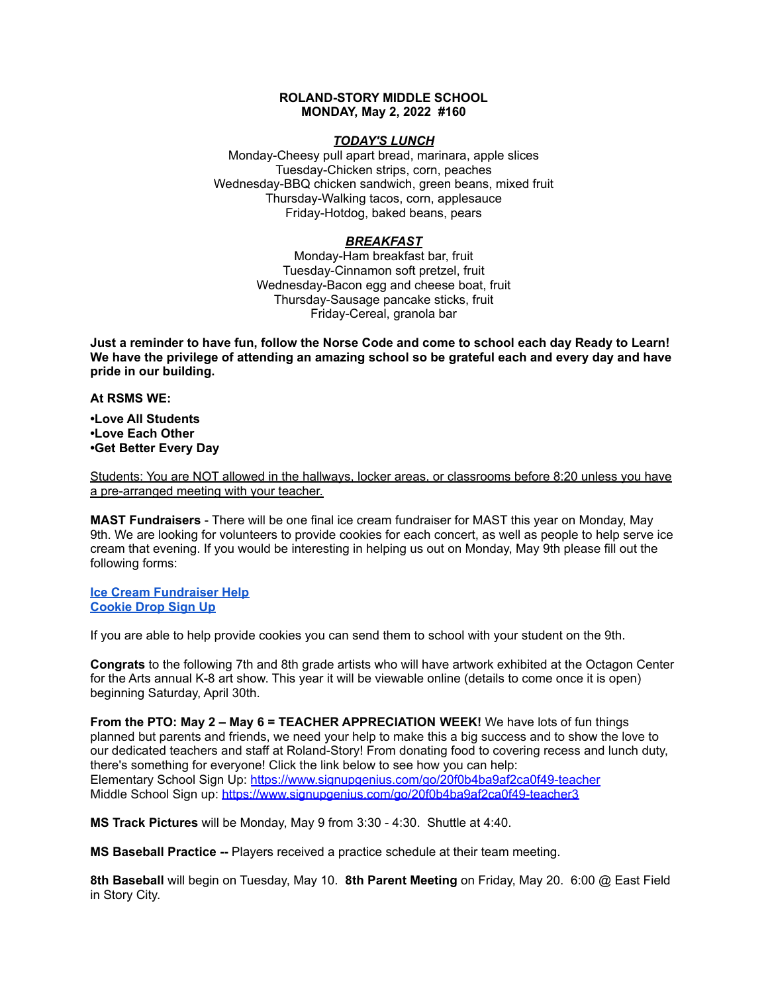# **ROLAND-STORY MIDDLE SCHOOL MONDAY, May 2, 2022 #160**

# *TODAY'S LUNCH*

Monday-Cheesy pull apart bread, marinara, apple slices Tuesday-Chicken strips, corn, peaches Wednesday-BBQ chicken sandwich, green beans, mixed fruit Thursday-Walking tacos, corn, applesauce Friday-Hotdog, baked beans, pears

# *BREAKFAST*

Monday-Ham breakfast bar, fruit Tuesday-Cinnamon soft pretzel, fruit Wednesday-Bacon egg and cheese boat, fruit Thursday-Sausage pancake sticks, fruit Friday-Cereal, granola bar

Just a reminder to have fun, follow the Norse Code and come to school each day Ready to Learn! **We have the privilege of attending an amazing school so be grateful each and every day and have pride in our building.**

**At RSMS WE:**

**•Love All Students •Love Each Other •Get Better Every Day**

Students: You are NOT allowed in the hallways, locker areas, or classrooms before 8:20 unless you have a pre-arranged meeting with your teacher.

**MAST Fundraisers** - There will be one final ice cream fundraiser for MAST this year on Monday, May 9th. We are looking for volunteers to provide cookies for each concert, as well as people to help serve ice cream that evening. If you would be interesting in helping us out on Monday, May 9th please fill out the following forms:

**Ice Cream [Fundraiser](https://www.signupgenius.com/go/4090c45acac2ba31-rsmast4) Help [Cookie](https://www.signupgenius.com/go/4090c45acac2ba31-5th6th) Drop Sign Up**

If you are able to help provide cookies you can send them to school with your student on the 9th.

**Congrats** to the following 7th and 8th grade artists who will have artwork exhibited at the Octagon Center for the Arts annual K-8 art show. This year it will be viewable online (details to come once it is open) beginning Saturday, April 30th.

**From the PTO: May 2 – May 6 = TEACHER APPRECIATION WEEK!** We have lots of fun things planned but parents and friends, we need your help to make this a big success and to show the love to our dedicated teachers and staff at Roland-Story! From donating food to covering recess and lunch duty, there's something for everyone! Click the link below to see how you can help: Elementary School Sign Up: <https://www.signupgenius.com/go/20f0b4ba9af2ca0f49-teacher> Middle School Sign up: <https://www.signupgenius.com/go/20f0b4ba9af2ca0f49-teacher3>

**MS Track Pictures** will be Monday, May 9 from 3:30 - 4:30. Shuttle at 4:40.

**MS Baseball Practice --** Players received a practice schedule at their team meeting.

**8th Baseball** will begin on Tuesday, May 10. **8th Parent Meeting** on Friday, May 20. 6:00 @ East Field in Story City.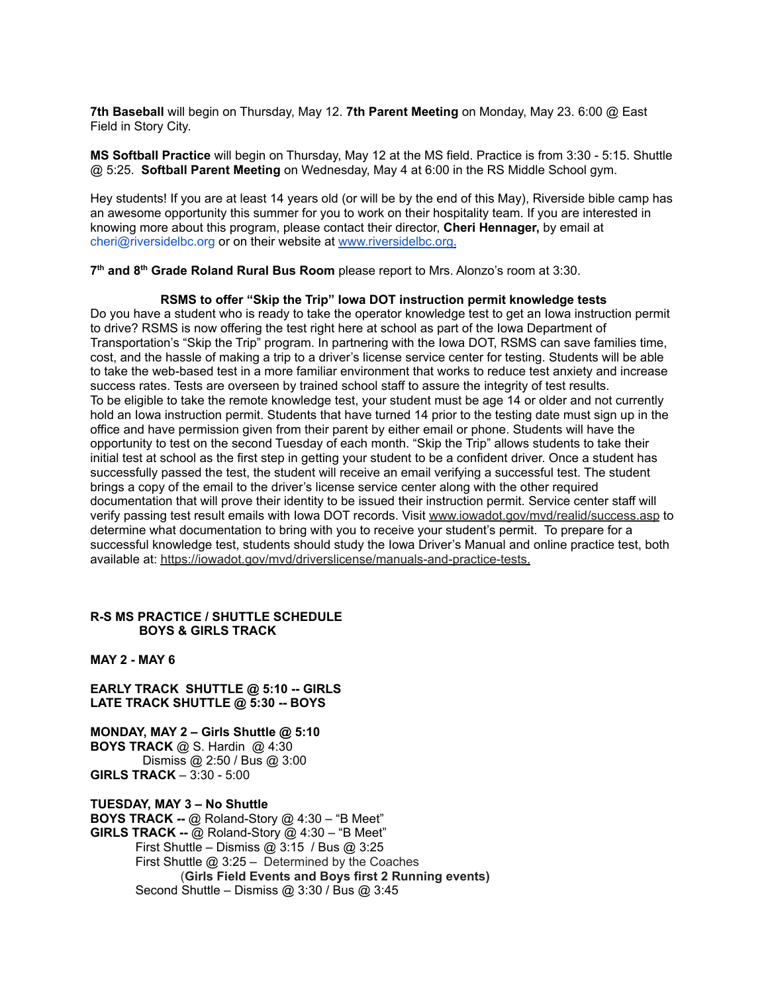**7th Baseball** will begin on Thursday, May 12. **7th Parent Meeting** on Monday, May 23. 6:00 @ East Field in Story City.

**MS Softball Practice** will begin on Thursday, May 12 at the MS field. Practice is from 3:30 - 5:15. Shuttle @ 5:25. **Softball Parent Meeting** on Wednesday, May 4 at 6:00 in the RS Middle School gym.

Hey students! If you are at least 14 years old (or will be by the end of this May), Riverside bible camp has an awesome opportunity this summer for you to work on their hospitality team. If you are interested in knowing more about this program, please contact their director, **Cheri Hennager,** by email at cheri@riversidelbc.org or on their website at [www.riversidelbc.org.](http://www.riversidelbc.org/)

**7 th and 8 th Grade Roland Rural Bus Room** please report to Mrs. Alonzo's room at 3:30.

#### **RSMS to offer "Skip the Trip" Iowa DOT instruction permit knowledge tests**

Do you have a student who is ready to take the operator knowledge test to get an Iowa instruction permit to drive? RSMS is now offering the test right here at school as part of the Iowa Department of Transportation's "Skip the Trip" program. In partnering with the Iowa DOT, RSMS can save families time, cost, and the hassle of making a trip to a driver's license service center for testing. Students will be able to take the web-based test in a more familiar environment that works to reduce test anxiety and increase success rates. Tests are overseen by trained school staff to assure the integrity of test results. To be eligible to take the remote knowledge test, your student must be age 14 or older and not currently hold an Iowa instruction permit. Students that have turned 14 prior to the testing date must sign up in the office and have permission given from their parent by either email or phone. Students will have the opportunity to test on the second Tuesday of each month. "Skip the Trip" allows students to take their initial test at school as the first step in getting your student to be a confident driver. Once a student has successfully passed the test, the student will receive an email verifying a successful test. The student brings a copy of the email to the driver's license service center along with the other required documentation that will prove their identity to be issued their instruction permit. Service center staff will verify passing test result emails with Iowa DOT records. Visit [www.iowadot.gov/mvd/realid/success.asp](http://www.iowadot.gov/mvd/realid/success.asp) to determine what documentation to bring with you to receive your student's permit. To prepare for a successful knowledge test, students should study the Iowa Driver's Manual and online practice test, both available at: <https://iowadot.gov/mvd/driverslicense/manuals-and-practice-tests>.

# **R-S MS PRACTICE / SHUTTLE SCHEDULE BOYS & GIRLS TRACK**

**MAY 2 - MAY 6**

**EARLY TRACK SHUTTLE @ 5:10 -- GIRLS LATE TRACK SHUTTLE @ 5:30 -- BOYS**

**MONDAY, MAY 2 – Girls Shuttle @ 5:10 BOYS TRACK** @ S. Hardin @ 4:30 Dismiss @ 2:50 / Bus @ 3:00 **GIRLS TRACK** – 3:30 - 5:00

**TUESDAY, MAY 3 – No Shuttle BOYS TRACK --** @ Roland-Story @ 4:30 – "B Meet" **GIRLS TRACK --** @ Roland-Story @ 4:30 – "B Meet" First Shuttle – Dismiss @ 3:15 / Bus @ 3:25 First Shuttle @ 3:25 – Determined by the Coaches (**Girls Field Events and Boys first 2 Running events)** Second Shuttle – Dismiss @ 3:30 / Bus @ 3:45